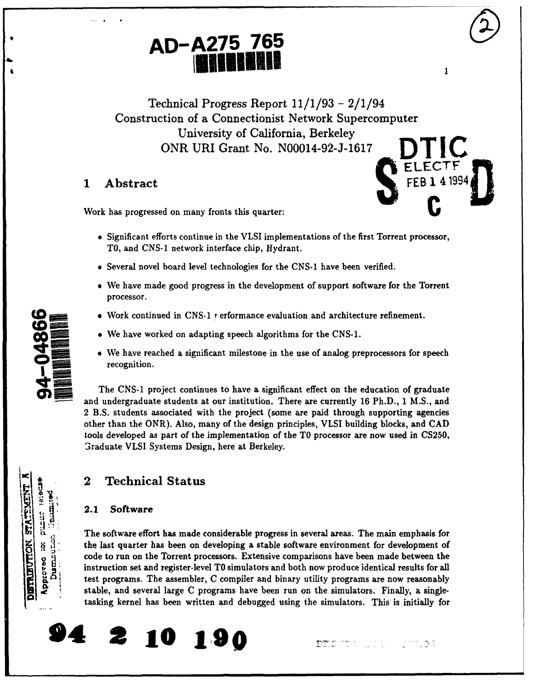

Technical Progress Report 11/1/93 - 2/1/94 Construction of a Connectionist Network Supercomputer University of California, Berkeley ONR URI Grant No. N00014-92-J-1617

Work has progressed on many fronts this quarter:

- 1 Abstract FEB 1 4 1994
	- \* Significant efforts continue in the VLSI implementations of the first Torrent processor, TO, and CNS-1 network interface chip, Hydrant.
	- \* Several novel board level technologies for the CNS-1 have been verified.
	- \* We have made good progress in the development of support software for the Torrent processor.
	- $\bullet$  Work continued in CNS-1  $\prime$  erformance evaluation and architecture refinement.
	- We have worked on adapting speech algorithms for the CNS-1.
	- We have reached a significant milestone in the use of analog preprocessors for speech recognition.

The CNS-1 project continues to have a significant effect on the education of graduate and undergraduate students at our institution. There are currently 16 Ph.D., 1 M.S., and 2 B.S. students associated with the project (some are paid through supporting agencies other than the ONR). Also, many of the design principles, VLSI building blocks, and CAD tools developed as part of the implementation of the TO processor are now used in CS250, Graduate VLSI Systems Design, here at Berkeley.

# 2 Technical Status

## **2.1** Software

The software effort has made considerable progress in several areas. The main emphasis for the last quarter has been on developing a stable software environment for development of code to run on the Torrent processors. Extensive comparisons have been made between the instruction set and register-level TO simulators and both now produce identical results for all test programs. The assembler, C compiler and binary utility programs are now reasonably *e.* stable, and several large C programs have been run on the simulators. Finally, a singletasking kernel has been written and debugged using the simulators. This is initially for





٦<br>5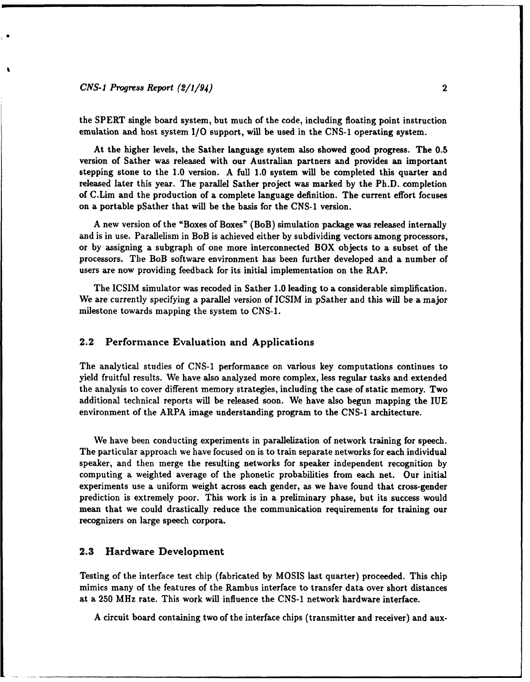### *CNS-I Progress Report (2/1/94)* 2

the SPERT single board system, but much of the code, including floating point instruction emulation and host system **1/0** support, will be used in the CNS-1 operating system.

At the higher levels, the Sather language system also showed good progress. The 0.5 version of Sather was released with our Australian partners and provides an important stepping stone to the 1.0 version. A full 1.0 system will be completed this quarter and released later this year. The parallel Sather project was marked by the Ph.D. completion of C.Lim and the production of a complete language definition. The current effort focuses on a portable pSather that will be the basis for the CNS-1 version.

A new version of the "Boxes of Boxes" (BoB) simulation package was released internally and is in use. Parallelism in BoB is achieved either by subdividing vectors among processors, or by assigning a subgraph of one more interconnected BOX objects to a subset of the processors. The BoB software environment has been further developed and a number of users are now providing feedback for its initial implementation on the RAP.

The ICSIM simulator was recoded in Sather 1.0 leading to a considerable simplification. We are currently specifying a parallel version of **ICSIM** in pSather and this will be a major milestone towards mapping the system to CNS-1.

#### 2.2 Performance Evaluation and Applications

The analytical studies of CNS-1 performance on various key computations continues to yield fruitful results. We have also analyzed more complex, less regular tasks and extended the analysis to cover different memory strategies, including the case of static memory. Two additional technical reports will be released soon. We have also begun mapping the IUE environment of the ARPA image understanding program to the CNS-1 architecture.

We have been conducting experiments in parallelization of network training for speech. The particular approach we have focused on is to train separate networks for each individual speaker, and then merge the resulting networks for speaker independent recognition by computing a weighted average of the phonetic probabilities from each net. Our initial experiments use a uniform weight across each gender, as we have found that cross-gender prediction is extremely poor. This work is in a preliminary phase, but its success would mean that we could drastically reduce the communication requirements for training our recognizers on large speech corpora.

#### **2.3** Hardware Development

Testing of the interface test chip (fabricated by MOSIS last quarter) proceeded. This chip mimics many of the features of the Rambus interface to transfer data over short distances at a 250 MHz rate. This work will influence the CNS-1 network hardware interface.

A circuit board containing two of the interface chips (transmitter and receiver) and aux-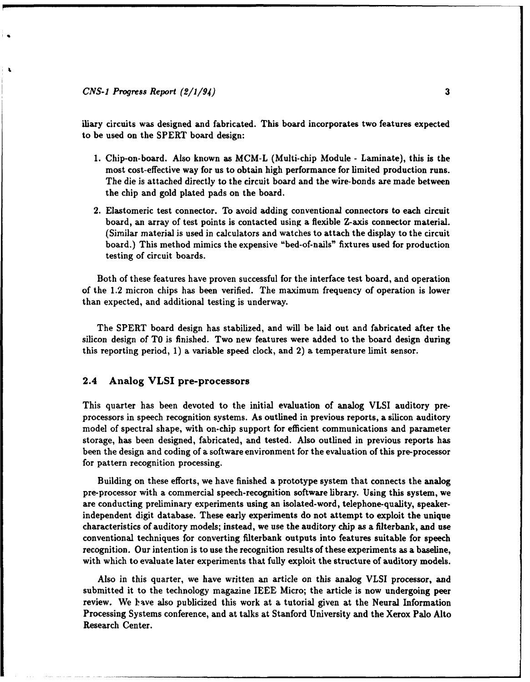#### *CNS-1 Progress Report (2/1/94)* **3**

iliary circuits was designed and fabricated. This board incorporates two features expected to be used on the SPERT board design:

- 1. Chip-on-board. Also known as MCM-L (Multi-chip Module Laminate), this is the most cost-effective way for us to obtain high performance for limited production runs. The die is attached directly to the circuit board and the wire-bonds are made between the chip and gold plated pads on the board.
- 2. Elastomeric test connector. To avoid adding conventional connectors to each circuit board, an array of test points is contacted using a flexible Z-axis connector material. (Similar material is used in calculators and watches to attach the display to the circuit board.) This method mimics the expensive "bed-of-nails" fixtures used for production testing of circuit boards.

Both of these features have proven successful for the interface test board, and operation of the 1.2 micron chips has been verified. The maximum frequency of operation is lower than expected, and additional testing is underway.

The SPERT board design has stabilized, and will be laid out and fabricated after the silicon design of TO is finished. Two new features were added to the board design during this reporting period, 1) a variable speed clock, and 2) a temperature limit sensor.

#### 2.4 Analog VLSI pre-processors

This quarter has been devoted to the initial evaluation of analog VLSI auditory preprocessors in speech recognition systems. As outlined in previous reports, a silicon auditory model of spectral shape, with on-chip support for efficient communications and parameter storage, has been designed, fabricated, and tested. Also outlined in previous reports has been the design and coding of a software environment for the evaluation of this pre-processor for pattern recognition processing.

Building on these efforts, we have finished a prototype system that connects the analog pre-processor with a commercial speech-recognition software library. Using this system, we are conducting preliminary experiments using an isolated-word, telephone-quality, speakerindependent digit database. These early experiments do not attempt to exploit the unique characteristics of auditory models; instead, we use the auditory chip as a filterbank, and use conventional techniques for converting filterbank outputs into features suitable for speech recognition. Our intention is to use the recognition results of these experiments as a baseline, with which to evaluate later experiments that fully exploit the structure of auditory models.

Also in this quarter, we have written an article on this analog VLSI processor, and submitted it to the technology magazine IEEE Micro; the article is now undergoing peer review. We lave also publicized this work at a tutorial given at the Neural Information Processing Systems conference, and at talks at Stanford University and the Xerox Palo Alto Research Center.